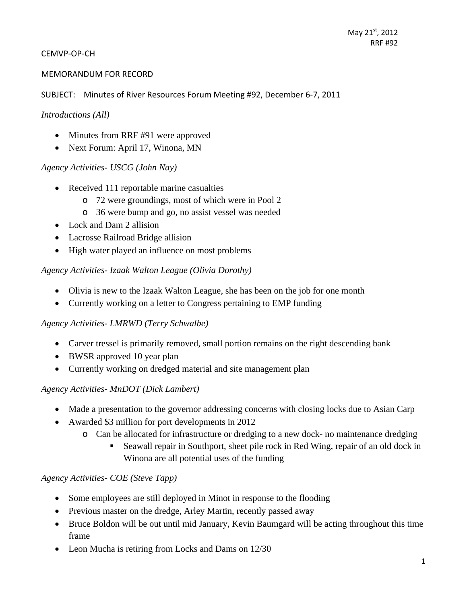#### CEMVP‐OP‐CH

#### MEMORANDUM FOR RECORD

SUBJECT: Minutes of River Resources Forum Meeting #92, December 6‐7, 2011

#### *Introductions (All)*

- Minutes from RRF #91 were approved
- Next Forum: April 17, Winona, MN

### *Agency Activities- USCG (John Nay)*

- Received 111 reportable marine casualties
	- o 72 were groundings, most of which were in Pool 2
	- o 36 were bump and go, no assist vessel was needed
- Lock and Dam 2 allision
- Lacrosse Railroad Bridge allision
- High water played an influence on most problems

### *Agency Activities- Izaak Walton League (Olivia Dorothy)*

- Olivia is new to the Izaak Walton League, she has been on the job for one month
- Currently working on a letter to Congress pertaining to EMP funding

### *Agency Activities- LMRWD (Terry Schwalbe)*

- Carver tressel is primarily removed, small portion remains on the right descending bank
- BWSR approved 10 year plan
- Currently working on dredged material and site management plan

### *Agency Activities- MnDOT (Dick Lambert)*

- Made a presentation to the governor addressing concerns with closing locks due to Asian Carp
- Awarded \$3 million for port developments in 2012
	- o Can be allocated for infrastructure or dredging to a new dock- no maintenance dredging
		- Seawall repair in Southport, sheet pile rock in Red Wing, repair of an old dock in Winona are all potential uses of the funding

### *Agency Activities- COE (Steve Tapp)*

- Some employees are still deployed in Minot in response to the flooding
- Previous master on the dredge, Arley Martin, recently passed away
- Bruce Boldon will be out until mid January, Kevin Baumgard will be acting throughout this time frame
- Leon Mucha is retiring from Locks and Dams on 12/30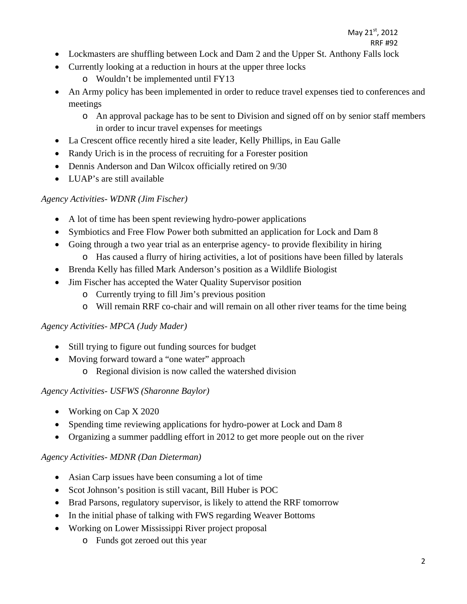- Lockmasters are shuffling between Lock and Dam 2 and the Upper St. Anthony Falls lock
- Currently looking at a reduction in hours at the upper three locks
	- o Wouldn't be implemented until FY13
- An Army policy has been implemented in order to reduce travel expenses tied to conferences and meetings
	- o An approval package has to be sent to Division and signed off on by senior staff members in order to incur travel expenses for meetings
- La Crescent office recently hired a site leader, Kelly Phillips, in Eau Galle
- Randy Urich is in the process of recruiting for a Forester position
- Dennis Anderson and Dan Wilcox officially retired on 9/30
- LUAP's are still available

*Agency Activities- WDNR (Jim Fischer)* 

- A lot of time has been spent reviewing hydro-power applications
- Symbiotics and Free Flow Power both submitted an application for Lock and Dam 8
- Going through a two year trial as an enterprise agency- to provide flexibility in hiring
	- o Has caused a flurry of hiring activities, a lot of positions have been filled by laterals
- Brenda Kelly has filled Mark Anderson's position as a Wildlife Biologist
- Jim Fischer has accepted the Water Quality Supervisor position
	- o Currently trying to fill Jim's previous position
	- o Will remain RRF co-chair and will remain on all other river teams for the time being

# *Agency Activities- MPCA (Judy Mader)*

- Still trying to figure out funding sources for budget
- Moving forward toward a "one water" approach
	- o Regional division is now called the watershed division

# *Agency Activities- USFWS (Sharonne Baylor)*

- Working on Cap X 2020
- Spending time reviewing applications for hydro-power at Lock and Dam 8
- Organizing a summer paddling effort in 2012 to get more people out on the river

# *Agency Activities- MDNR (Dan Dieterman)*

- Asian Carp issues have been consuming a lot of time
- Scot Johnson's position is still vacant, Bill Huber is POC
- Brad Parsons, regulatory supervisor, is likely to attend the RRF tomorrow
- In the initial phase of talking with FWS regarding Weaver Bottoms
- Working on Lower Mississippi River project proposal
	- o Funds got zeroed out this year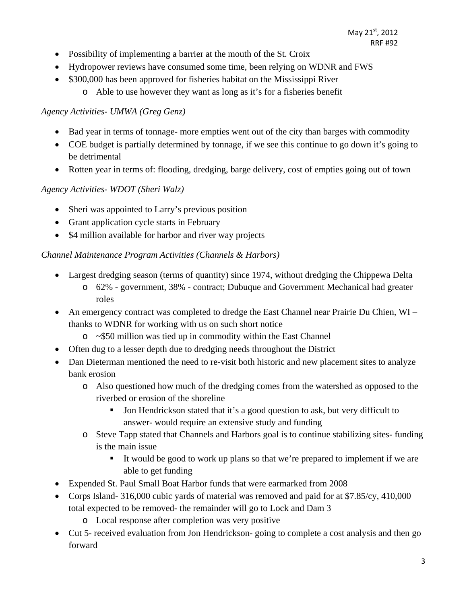- Possibility of implementing a barrier at the mouth of the St. Croix
- Hydropower reviews have consumed some time, been relying on WDNR and FWS
- \$300,000 has been approved for fisheries habitat on the Mississippi River o Able to use however they want as long as it's for a fisheries benefit

# *Agency Activities- UMWA (Greg Genz)*

- Bad year in terms of tonnage- more empties went out of the city than barges with commodity
- COE budget is partially determined by tonnage, if we see this continue to go down it's going to be detrimental
- Rotten year in terms of: flooding, dredging, barge delivery, cost of empties going out of town

### *Agency Activities- WDOT (Sheri Walz)*

- Sheri was appointed to Larry's previous position
- Grant application cycle starts in February
- \$4 million available for harbor and river way projects

### *Channel Maintenance Program Activities (Channels & Harbors)*

- Largest dredging season (terms of quantity) since 1974, without dredging the Chippewa Delta o 62% - government, 38% - contract; Dubuque and Government Mechanical had greater roles
- An emergency contract was completed to dredge the East Channel near Prairie Du Chien, WI thanks to WDNR for working with us on such short notice
	- o ~\$50 million was tied up in commodity within the East Channel
- Often dug to a lesser depth due to dredging needs throughout the District
- Dan Dieterman mentioned the need to re-visit both historic and new placement sites to analyze bank erosion
	- o Also questioned how much of the dredging comes from the watershed as opposed to the riverbed or erosion of the shoreline
		- Jon Hendrickson stated that it's a good question to ask, but very difficult to answer- would require an extensive study and funding
	- o Steve Tapp stated that Channels and Harbors goal is to continue stabilizing sites- funding is the main issue
		- It would be good to work up plans so that we're prepared to implement if we are able to get funding
- Expended St. Paul Small Boat Harbor funds that were earmarked from 2008
- Corps Island- 316,000 cubic yards of material was removed and paid for at \$7.85/cy, 410,000 total expected to be removed- the remainder will go to Lock and Dam 3
	- o Local response after completion was very positive
- Cut 5- received evaluation from Jon Hendrickson- going to complete a cost analysis and then go forward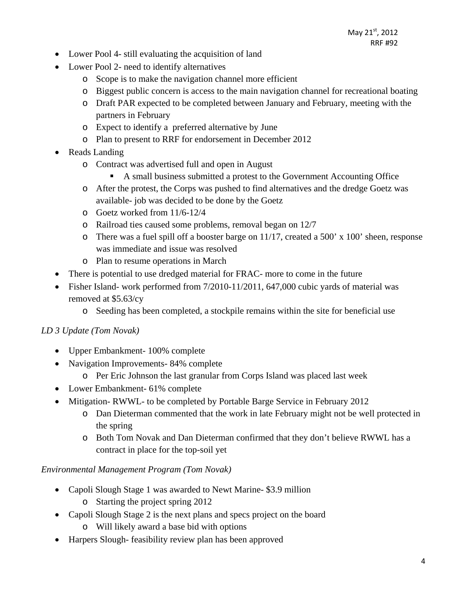- Lower Pool 4- still evaluating the acquisition of land
- Lower Pool 2- need to identify alternatives
	- o Scope is to make the navigation channel more efficient
	- o Biggest public concern is access to the main navigation channel for recreational boating
	- o Draft PAR expected to be completed between January and February, meeting with the partners in February
	- o Expect to identify a preferred alternative by June
	- o Plan to present to RRF for endorsement in December 2012
- Reads Landing
	- o Contract was advertised full and open in August
		- A small business submitted a protest to the Government Accounting Office
	- o After the protest, the Corps was pushed to find alternatives and the dredge Goetz was available- job was decided to be done by the Goetz
	- o Goetz worked from 11/6-12/4
	- o Railroad ties caused some problems, removal began on 12/7
	- o There was a fuel spill off a booster barge on 11/17, created a 500' x 100' sheen, response was immediate and issue was resolved
	- o Plan to resume operations in March
- There is potential to use dredged material for FRAC- more to come in the future
- Fisher Island- work performed from 7/2010-11/2011, 647,000 cubic yards of material was removed at \$5.63/cy
	- o Seeding has been completed, a stockpile remains within the site for beneficial use

# *LD 3 Update (Tom Novak)*

- Upper Embankment- 100% complete
- Navigation Improvements- 84% complete
	- o Per Eric Johnson the last granular from Corps Island was placed last week
- Lower Embankment- 61% complete
- Mitigation- RWWL- to be completed by Portable Barge Service in February 2012
	- o Dan Dieterman commented that the work in late February might not be well protected in the spring
	- o Both Tom Novak and Dan Dieterman confirmed that they don't believe RWWL has a contract in place for the top-soil yet

### *Environmental Management Program (Tom Novak)*

- Capoli Slough Stage 1 was awarded to Newt Marine- \$3.9 million o Starting the project spring 2012
- Capoli Slough Stage 2 is the next plans and specs project on the board o Will likely award a base bid with options
- Harpers Slough- feasibility review plan has been approved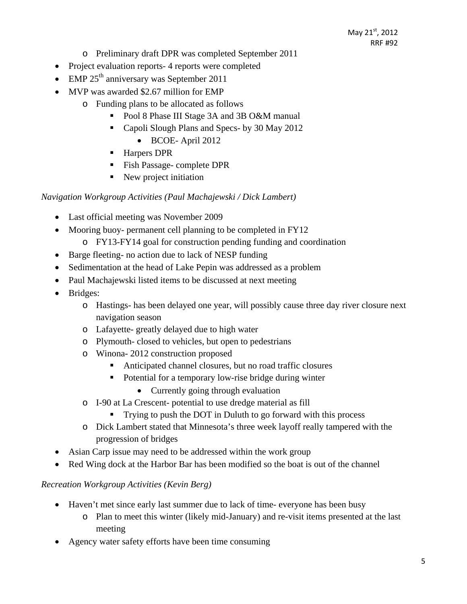- o Preliminary draft DPR was completed September 2011
- Project evaluation reports- 4 reports were completed
- EMP  $25<sup>th</sup>$  anniversary was September 2011
- MVP was awarded \$2.67 million for EMP
	- o Funding plans to be allocated as follows
		- Pool 8 Phase III Stage 3A and 3B O&M manual
		- Capoli Slough Plans and Specs- by 30 May 2012
			- BCOE- April 2012
		- **Harpers DPR**
		- **Fish Passage- complete DPR**
		- New project initiation

### *Navigation Workgroup Activities (Paul Machajewski / Dick Lambert)*

- Last official meeting was November 2009
- Mooring buoy- permanent cell planning to be completed in FY12
	- o FY13-FY14 goal for construction pending funding and coordination
- Barge fleeting- no action due to lack of NESP funding
- Sedimentation at the head of Lake Pepin was addressed as a problem
- Paul Machajewski listed items to be discussed at next meeting
- Bridges:
	- o Hastings- has been delayed one year, will possibly cause three day river closure next navigation season
	- o Lafayette- greatly delayed due to high water
	- o Plymouth- closed to vehicles, but open to pedestrians
	- o Winona- 2012 construction proposed
		- Anticipated channel closures, but no road traffic closures
		- Potential for a temporary low-rise bridge during winter
			- Currently going through evaluation
	- o I-90 at La Crescent- potential to use dredge material as fill
		- Trying to push the DOT in Duluth to go forward with this process
	- o Dick Lambert stated that Minnesota's three week layoff really tampered with the progression of bridges
- Asian Carp issue may need to be addressed within the work group
- Red Wing dock at the Harbor Bar has been modified so the boat is out of the channel

### *Recreation Workgroup Activities (Kevin Berg)*

- Haven't met since early last summer due to lack of time- everyone has been busy
	- o Plan to meet this winter (likely mid-January) and re-visit items presented at the last meeting
- Agency water safety efforts have been time consuming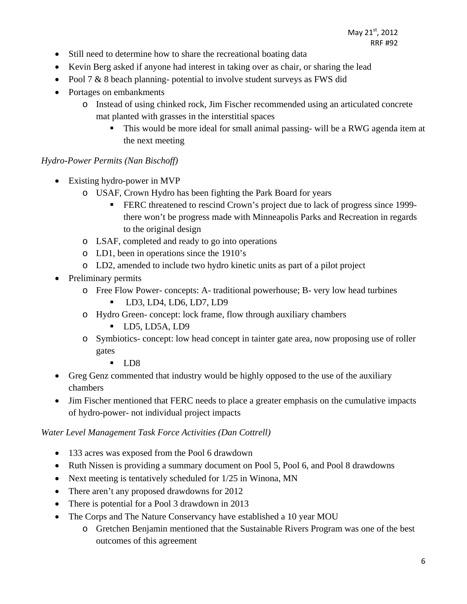- Still need to determine how to share the recreational boating data
- Kevin Berg asked if anyone had interest in taking over as chair, or sharing the lead
- Pool 7  $&$  8 beach planning-potential to involve student surveys as FWS did
- Portages on embankments
	- o Instead of using chinked rock, Jim Fischer recommended using an articulated concrete mat planted with grasses in the interstitial spaces
		- This would be more ideal for small animal passing- will be a RWG agenda item at the next meeting

### *Hydro-Power Permits (Nan Bischoff)*

- Existing hydro-power in MVP
	- o USAF, Crown Hydro has been fighting the Park Board for years
		- **FERC** threatened to rescind Crown's project due to lack of progress since 1999there won't be progress made with Minneapolis Parks and Recreation in regards to the original design
	- o LSAF, completed and ready to go into operations
	- o LD1, been in operations since the 1910's
	- o LD2, amended to include two hydro kinetic units as part of a pilot project
- Preliminary permits
	- o Free Flow Power- concepts: A- traditional powerhouse; B- very low head turbines
		- LD3, LD4, LD6, LD7, LD9
	- o Hydro Green- concept: lock frame, flow through auxiliary chambers
		- $LD5$ , LD5A, LD9
	- o Symbiotics- concept: low head concept in tainter gate area, now proposing use of roller gates

 $LD8$ 

- Greg Genz commented that industry would be highly opposed to the use of the auxiliary chambers
- Jim Fischer mentioned that FERC needs to place a greater emphasis on the cumulative impacts of hydro-power- not individual project impacts

#### *Water Level Management Task Force Activities (Dan Cottrell)*

- 133 acres was exposed from the Pool 6 drawdown
- Ruth Nissen is providing a summary document on Pool 5, Pool 6, and Pool 8 drawdowns
- Next meeting is tentatively scheduled for  $1/25$  in Winona, MN
- There aren't any proposed drawdowns for 2012
- There is potential for a Pool 3 drawdown in 2013
- The Corps and The Nature Conservancy have established a 10 year MOU
	- o Gretchen Benjamin mentioned that the Sustainable Rivers Program was one of the best outcomes of this agreement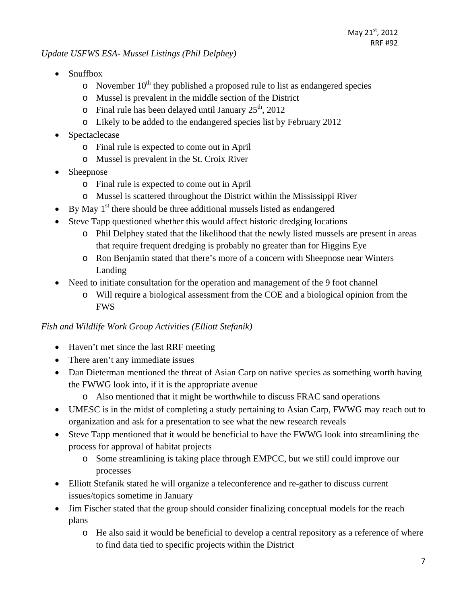### *Update USFWS ESA- Mussel Listings (Phil Delphey)*

- Snuffbox
	- o November  $10^{th}$  they published a proposed rule to list as endangered species
	- o Mussel is prevalent in the middle section of the District
	- $\circ$  Final rule has been delayed until January 25<sup>th</sup>, 2012
	- o Likely to be added to the endangered species list by February 2012
- Spectaclecase
	- o Final rule is expected to come out in April
	- o Mussel is prevalent in the St. Croix River
- Sheepnose
	- o Final rule is expected to come out in April
	- o Mussel is scattered throughout the District within the Mississippi River
- $\bullet$  By May 1<sup>st</sup> there should be three additional mussels listed as endangered
- Steve Tapp questioned whether this would affect historic dredging locations
	- o Phil Delphey stated that the likelihood that the newly listed mussels are present in areas that require frequent dredging is probably no greater than for Higgins Eye
	- o Ron Benjamin stated that there's more of a concern with Sheepnose near Winters Landing
- Need to initiate consultation for the operation and management of the 9 foot channel
	- o Will require a biological assessment from the COE and a biological opinion from the FWS

# *Fish and Wildlife Work Group Activities (Elliott Stefanik)*

- Haven't met since the last RRF meeting
- There aren't any immediate issues
- Dan Dieterman mentioned the threat of Asian Carp on native species as something worth having the FWWG look into, if it is the appropriate avenue
	- o Also mentioned that it might be worthwhile to discuss FRAC sand operations
- UMESC is in the midst of completing a study pertaining to Asian Carp, FWWG may reach out to organization and ask for a presentation to see what the new research reveals
- Steve Tapp mentioned that it would be beneficial to have the FWWG look into streamlining the process for approval of habitat projects
	- o Some streamlining is taking place through EMPCC, but we still could improve our processes
- Elliott Stefanik stated he will organize a teleconference and re-gather to discuss current issues/topics sometime in January
- Jim Fischer stated that the group should consider finalizing conceptual models for the reach plans
	- o He also said it would be beneficial to develop a central repository as a reference of where to find data tied to specific projects within the District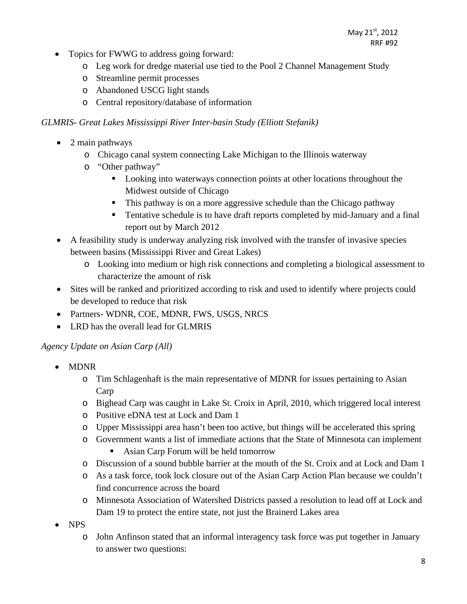- Topics for FWWG to address going forward:
	- o Leg work for dredge material use tied to the Pool 2 Channel Management Study
	- o Streamline permit processes
	- o Abandoned USCG light stands
	- o Central repository/database of information

### *GLMRIS- Great Lakes Mississippi River Inter-basin Study (Elliott Stefanik)*

- $\bullet$  2 main pathways
	- o Chicago canal system connecting Lake Michigan to the Illinois waterway
	- o "Other pathway"
		- **Looking into waterways connection points at other locations throughout the** Midwest outside of Chicago
		- This pathway is on a more aggressive schedule than the Chicago pathway
		- **Tentative schedule is to have draft reports completed by mid-January and a final** report out by March 2012
- A feasibility study is underway analyzing risk involved with the transfer of invasive species between basins (Mississippi River and Great Lakes)
	- o Looking into medium or high risk connections and completing a biological assessment to characterize the amount of risk
- Sites will be ranked and prioritized according to risk and used to identify where projects could be developed to reduce that risk
- Partners- WDNR, COE, MDNR, FWS, USGS, NRCS
- LRD has the overall lead for GLMRIS

### *Agency Update on Asian Carp (All)*

- MDNR
	- o Tim Schlagenhaft is the main representative of MDNR for issues pertaining to Asian Carp
	- o Bighead Carp was caught in Lake St. Croix in April, 2010, which triggered local interest
	- o Positive eDNA test at Lock and Dam 1
	- o Upper Mississippi area hasn't been too active, but things will be accelerated this spring
	- o Government wants a list of immediate actions that the State of Minnesota can implement Asian Carp Forum will be held tomorrow
	- o Discussion of a sound bubble barrier at the mouth of the St. Croix and at Lock and Dam 1
	- o As a task force, took lock closure out of the Asian Carp Action Plan because we couldn't find concurrence across the board
	- o Minnesota Association of Watershed Districts passed a resolution to lead off at Lock and Dam 19 to protect the entire state, not just the Brainerd Lakes area
- NPS
	- o John Anfinson stated that an informal interagency task force was put together in January to answer two questions: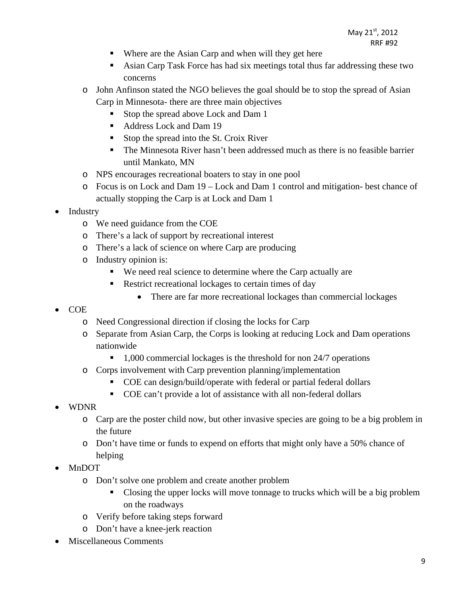- Where are the Asian Carp and when will they get here
- Asian Carp Task Force has had six meetings total thus far addressing these two concerns
- o John Anfinson stated the NGO believes the goal should be to stop the spread of Asian Carp in Minnesota- there are three main objectives
	- Stop the spread above Lock and Dam 1
	- Address Lock and Dam 19
	- Stop the spread into the St. Croix River
	- The Minnesota River hasn't been addressed much as there is no feasible barrier until Mankato, MN
- o NPS encourages recreational boaters to stay in one pool
- o Focus is on Lock and Dam 19 Lock and Dam 1 control and mitigation- best chance of actually stopping the Carp is at Lock and Dam 1
- Industry
	- o We need guidance from the COE
	- o There's a lack of support by recreational interest
	- o There's a lack of science on where Carp are producing
	- o Industry opinion is:
		- We need real science to determine where the Carp actually are
		- Restrict recreational lockages to certain times of day
			- There are far more recreational lockages than commercial lockages
- **COE** 
	- o Need Congressional direction if closing the locks for Carp
	- o Separate from Asian Carp, the Corps is looking at reducing Lock and Dam operations nationwide
		- $\blacksquare$  1,000 commercial lockages is the threshold for non 24/7 operations
	- o Corps involvement with Carp prevention planning/implementation
		- COE can design/build/operate with federal or partial federal dollars
		- COE can't provide a lot of assistance with all non-federal dollars
- WDNR
	- o Carp are the poster child now, but other invasive species are going to be a big problem in the future
	- o Don't have time or funds to expend on efforts that might only have a 50% chance of helping
- MnDOT
	- o Don't solve one problem and create another problem
		- Closing the upper locks will move tonnage to trucks which will be a big problem on the roadways
	- o Verify before taking steps forward
	- o Don't have a knee-jerk reaction
- Miscellaneous Comments